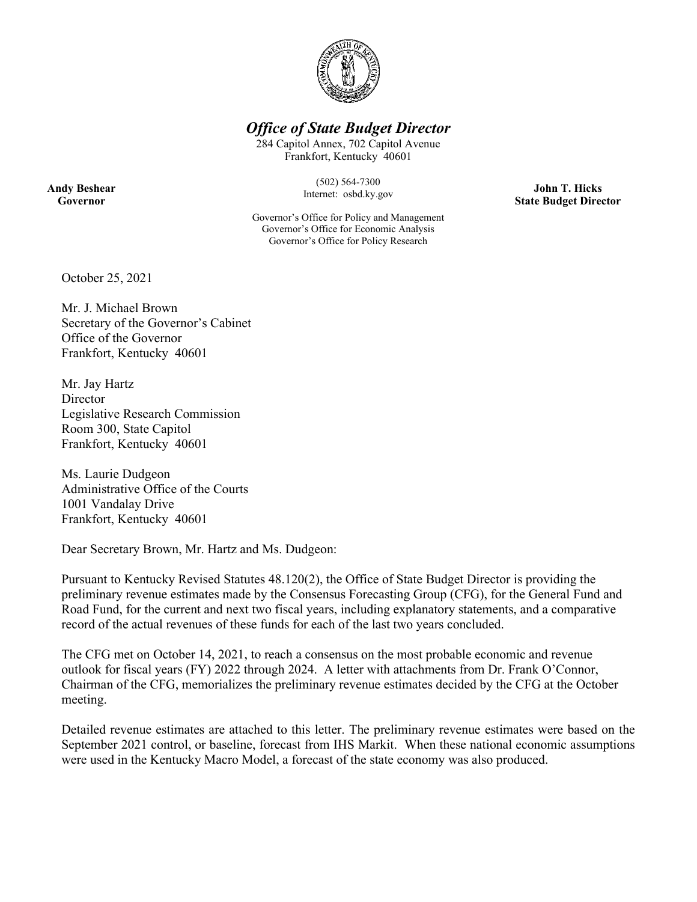

## *Office of State Budget Director*

284 Capitol Annex, 702 Capitol Avenue Frankfort, Kentucky 40601

> (502) 564-7300 Internet: osbd.ky.gov

Governor's Office for Policy and Management Governor's Office for Economic Analysis Governor's Office for Policy Research

**John T. Hicks State Budget Director**

October 25, 2021

Mr. J. Michael Brown Secretary of the Governor's Cabinet Office of the Governor Frankfort, Kentucky 40601

Mr. Jay Hartz **Director** Legislative Research Commission Room 300, State Capitol Frankfort, Kentucky 40601

Ms. Laurie Dudgeon Administrative Office of the Courts 1001 Vandalay Drive Frankfort, Kentucky 40601

Dear Secretary Brown, Mr. Hartz and Ms. Dudgeon:

Pursuant to Kentucky Revised Statutes 48.120(2), the Office of State Budget Director is providing the preliminary revenue estimates made by the Consensus Forecasting Group (CFG), for the General Fund and Road Fund, for the current and next two fiscal years, including explanatory statements, and a comparative record of the actual revenues of these funds for each of the last two years concluded.

The CFG met on October 14, 2021, to reach a consensus on the most probable economic and revenue outlook for fiscal years (FY) 2022 through 2024. A letter with attachments from Dr. Frank O'Connor, Chairman of the CFG, memorializes the preliminary revenue estimates decided by the CFG at the October meeting.

Detailed revenue estimates are attached to this letter. The preliminary revenue estimates were based on the September 2021 control, or baseline, forecast from IHS Markit. When these national economic assumptions were used in the Kentucky Macro Model, a forecast of the state economy was also produced.

**Andy Beshear Governor**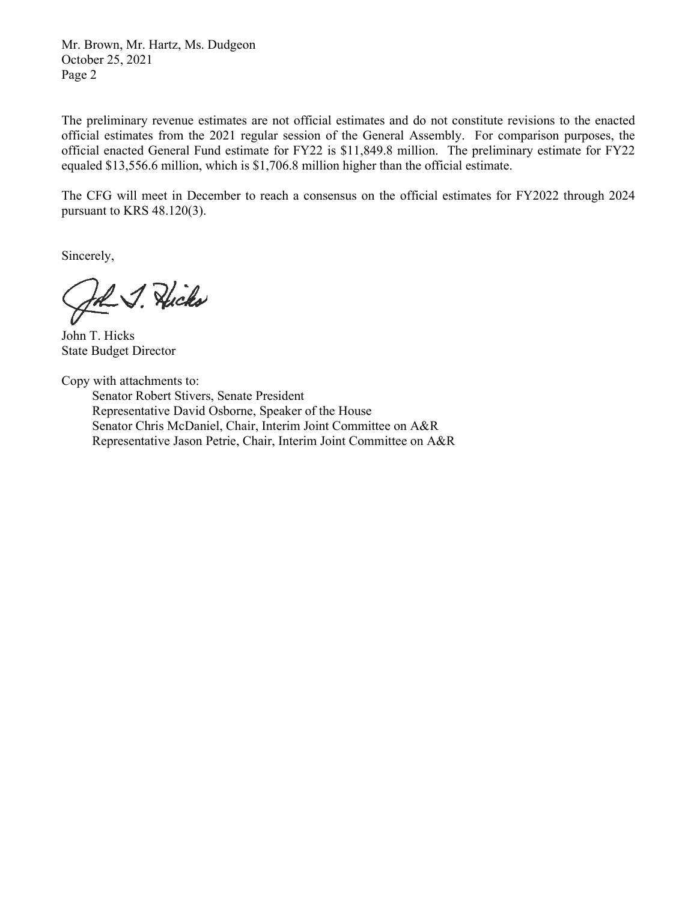Mr. Brown, Mr. Hartz, Ms. Dudgeon October 25, 2021 Page 2

The preliminary revenue estimates are not official estimates and do not constitute revisions to the enacted official estimates from the 2021 regular session of the General Assembly. For comparison purposes, the official enacted General Fund estimate for FY22 is \$11,849.8 million. The preliminary estimate for FY22 equaled \$13,556.6 million, which is \$1,706.8 million higher than the official estimate.

The CFG will meet in December to reach a consensus on the official estimates for FY2022 through 2024 pursuant to KRS 48.120(3).

Sincerely,

John J. Hicks

John T. Hicks State Budget Director

Copy with attachments to:

Senator Robert Stivers, Senate President Representative David Osborne, Speaker of the House Senator Chris McDaniel, Chair, Interim Joint Committee on A&R Representative Jason Petrie, Chair, Interim Joint Committee on A&R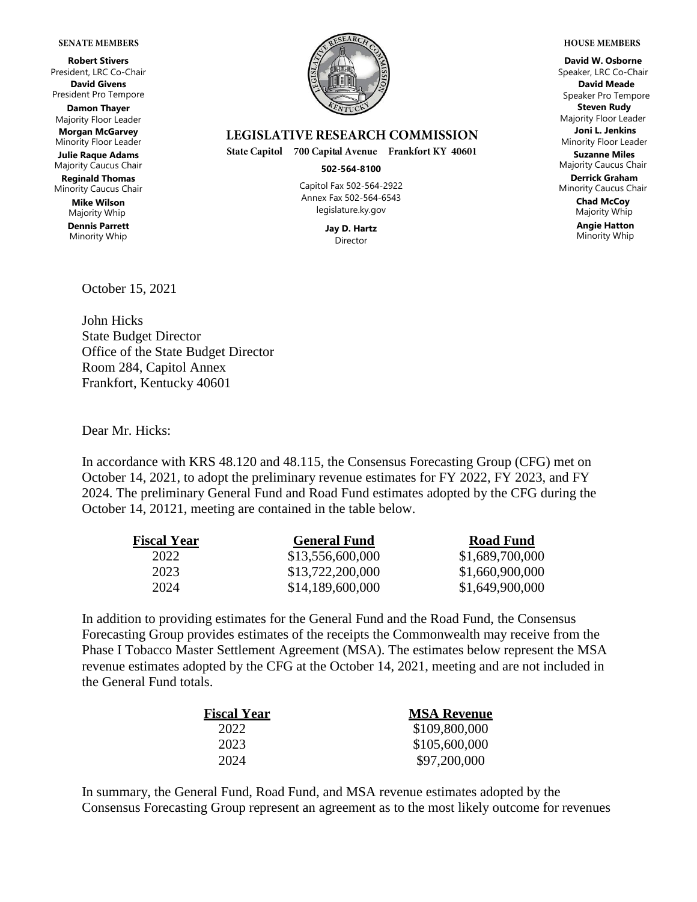#### **SENATE MEMBERS**

**Robert Stivers** President, LRC Co-Chair **David Givens** President Pro Tempore **Damon Thayer** Majority Floor Leader **Morgan McGarvey** Minority Floor Leader **Julie Raque Adams** Majority Caucus Chair **Reginald Thomas** Minority Caucus Chair **Mike Wilson** Majority Whip

**Dennis Parrett** Minority Whip



### **LEGISLATIVE RESEARCH COMMISSION**

State Capitol 700 Capital Avenue Frankfort KY 40601

#### **502-564-8100**

Capitol Fax 502-564-2922 Annex Fax 502-564-6543 legislature.ky.gov

> **Jay D. Hartz** Director

**David W. Osborne** Speaker, LRC Co-Chair **David Meade** Speaker Pro Tempore **Steven Rudy** Majority Floor Leader **Joni L. Jenkins** Minority Floor Leader **Suzanne Miles** Majority Caucus Chair **Derrick Graham** Minority Caucus Chair **Chad McCoy** Majority Whip

**Angie Hatton** Minority Whip

October 15, 2021

John Hicks State Budget Director Office of the State Budget Director Room 284, Capitol Annex Frankfort, Kentucky 40601

Dear Mr. Hicks:

In accordance with KRS 48.120 and 48.115, the Consensus Forecasting Group (CFG) met on October 14, 2021, to adopt the preliminary revenue estimates for FY 2022, FY 2023, and FY 2024. The preliminary General Fund and Road Fund estimates adopted by the CFG during the October 14, 20121, meeting are contained in the table below.

| <b>Fiscal Year</b> | <b>General Fund</b> | <b>Road Fund</b> |  |  |  |
|--------------------|---------------------|------------------|--|--|--|
| 2022               | \$13,556,600,000    | \$1,689,700,000  |  |  |  |
| 2023               | \$13,722,200,000    | \$1,660,900,000  |  |  |  |
| 2024               | \$14,189,600,000    | \$1,649,900,000  |  |  |  |

In addition to providing estimates for the General Fund and the Road Fund, the Consensus Forecasting Group provides estimates of the receipts the Commonwealth may receive from the Phase I Tobacco Master Settlement Agreement (MSA). The estimates below represent the MSA revenue estimates adopted by the CFG at the October 14, 2021, meeting and are not included in the General Fund totals.

| <b>Fiscal Year</b> | <b>MSA Revenue</b> |  |  |  |  |
|--------------------|--------------------|--|--|--|--|
| 2022               | \$109,800,000      |  |  |  |  |
| 2023               | \$105,600,000      |  |  |  |  |
| 2024               | \$97,200,000       |  |  |  |  |

In summary, the General Fund, Road Fund, and MSA revenue estimates adopted by the Consensus Forecasting Group represent an agreement as to the most likely outcome for revenues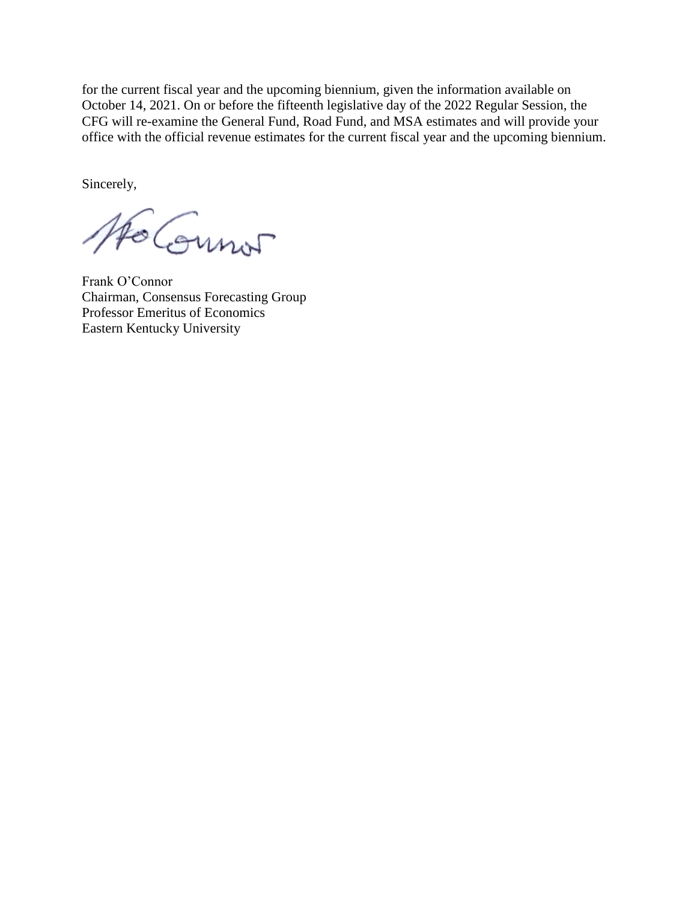for the current fiscal year and the upcoming biennium, given the information available on October 14, 2021. On or before the fifteenth legislative day of the 2022 Regular Session, the CFG will re-examine the General Fund, Road Fund, and MSA estimates and will provide your office with the official revenue estimates for the current fiscal year and the upcoming biennium.

Sincerely,

AFO COUNT

Frank O'Connor Chairman, Consensus Forecasting Group Professor Emeritus of Economics Eastern Kentucky University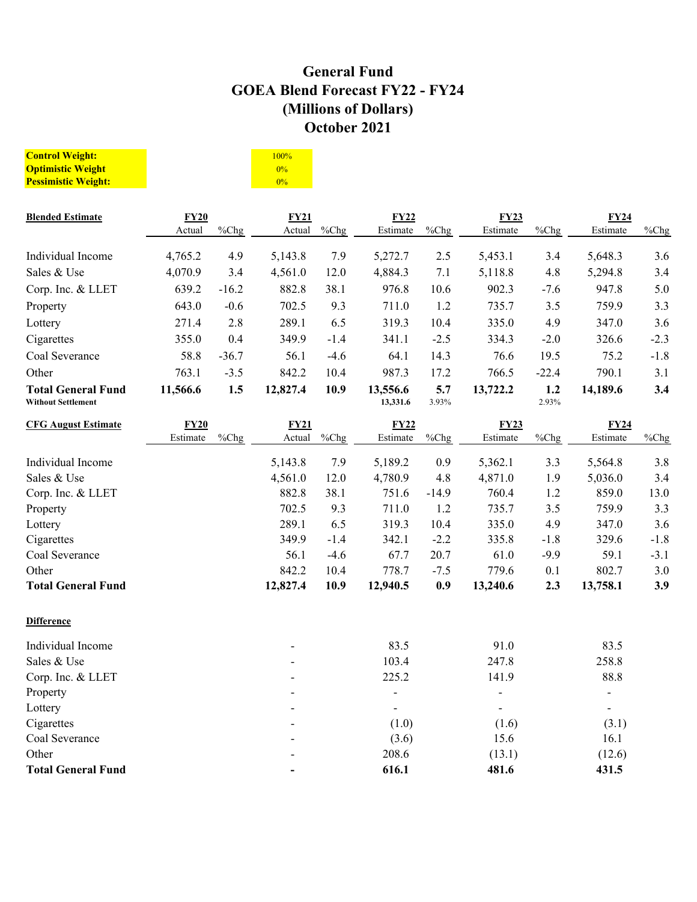# **General Fund GOEA Blend Forecast FY22 - FY24 (Millions of Dollars) October 2021**

| <b>Control Weight:</b>     | 100% |
|----------------------------|------|
| <b>Optimistic Weight</b>   | 0%   |
| <b>Pessimistic Weight:</b> | 0%   |

| <b>Blended Estimate</b>                                | <b>FY20</b> |         | FY21     |        | FY22                     |              | <b>FY23</b>              |              | FY24           |          |
|--------------------------------------------------------|-------------|---------|----------|--------|--------------------------|--------------|--------------------------|--------------|----------------|----------|
|                                                        | Actual      | %Chg    | Actual   | %Chg   | Estimate                 | %Chg         | Estimate                 | %Chg         | Estimate       | $\%$ Chg |
| Individual Income                                      | 4,765.2     | 4.9     | 5,143.8  | 7.9    | 5,272.7                  | 2.5          | 5,453.1                  | 3.4          | 5,648.3        | 3.6      |
| Sales & Use                                            | 4,070.9     | 3.4     | 4,561.0  | 12.0   | 4,884.3                  | 7.1          | 5,118.8                  | 4.8          | 5,294.8        | 3.4      |
| Corp. Inc. & LLET                                      | 639.2       | $-16.2$ | 882.8    | 38.1   | 976.8                    | 10.6         | 902.3                    | $-7.6$       | 947.8          | 5.0      |
| Property                                               | 643.0       | $-0.6$  | 702.5    | 9.3    | 711.0                    | 1.2          | 735.7                    | 3.5          | 759.9          | 3.3      |
| Lottery                                                | 271.4       | 2.8     | 289.1    | 6.5    | 319.3                    | 10.4         | 335.0                    | 4.9          | 347.0          | 3.6      |
| Cigarettes                                             | 355.0       | 0.4     | 349.9    | $-1.4$ | 341.1                    | $-2.5$       | 334.3                    | $-2.0$       | 326.6          | $-2.3$   |
| Coal Severance                                         | 58.8        | $-36.7$ | 56.1     | $-4.6$ | 64.1                     | 14.3         | 76.6                     | 19.5         | 75.2           | $-1.8$   |
| Other                                                  | 763.1       | $-3.5$  | 842.2    | 10.4   | 987.3                    | 17.2         | 766.5                    | $-22.4$      | 790.1          | 3.1      |
| <b>Total General Fund</b><br><b>Without Settlement</b> | 11,566.6    | 1.5     | 12,827.4 | 10.9   | 13,556.6<br>13,331.6     | 5.7<br>3.93% | 13,722.2                 | 1.2<br>2.93% | 14,189.6       | 3.4      |
| <b>CFG August Estimate</b>                             | FY20        |         | FY21     |        | FY22                     |              | <b>FY23</b>              |              | FY24           |          |
|                                                        | Estimate    | %Chg    | Actual   | %Chg   | Estimate                 | %Chg         | Estimate                 | %Chg         | Estimate       | $%$ Chg  |
| Individual Income                                      |             |         | 5,143.8  | 7.9    | 5,189.2                  | 0.9          | 5,362.1                  | 3.3          | 5,564.8        | 3.8      |
| Sales & Use                                            |             |         | 4,561.0  | 12.0   | 4,780.9                  | 4.8          | 4,871.0                  | 1.9          | 5,036.0        | 3.4      |
| Corp. Inc. & LLET                                      |             |         | 882.8    | 38.1   | 751.6                    | $-14.9$      | 760.4                    | 1.2          | 859.0          | 13.0     |
| Property                                               |             |         | 702.5    | 9.3    | 711.0                    | 1.2          | 735.7                    | 3.5          | 759.9          | 3.3      |
| Lottery                                                |             |         | 289.1    | 6.5    | 319.3                    | 10.4         | 335.0                    | 4.9          | 347.0          | 3.6      |
| Cigarettes                                             |             |         | 349.9    | $-1.4$ | 342.1                    | $-2.2$       | 335.8                    | $-1.8$       | 329.6          | $-1.8$   |
| Coal Severance                                         |             |         | 56.1     | $-4.6$ | 67.7                     | 20.7         | 61.0                     | $-9.9$       | 59.1           | $-3.1$   |
| Other                                                  |             |         | 842.2    | 10.4   | 778.7                    | $-7.5$       | 779.6                    | 0.1          | 802.7          | 3.0      |
| <b>Total General Fund</b>                              |             |         | 12,827.4 | 10.9   | 12,940.5                 | 0.9          | 13,240.6                 | 2.3          | 13,758.1       | 3.9      |
| <b>Difference</b>                                      |             |         |          |        |                          |              |                          |              |                |          |
| Individual Income                                      |             |         |          |        | 83.5                     |              | 91.0                     |              | 83.5           |          |
| Sales & Use                                            |             |         |          |        | 103.4                    |              | 247.8                    |              | 258.8          |          |
| Corp. Inc. & LLET                                      |             |         |          |        | 225.2                    |              | 141.9                    |              | 88.8           |          |
| Property                                               |             |         |          |        | $\overline{a}$           |              | $\frac{1}{2}$            |              |                |          |
| Lottery                                                |             |         |          |        | $\overline{\phantom{a}}$ |              | $\overline{\phantom{a}}$ |              | $\overline{a}$ |          |
| Cigarettes                                             |             |         |          |        | (1.0)                    |              | (1.6)                    |              | (3.1)          |          |
| Coal Severance                                         |             |         |          |        | (3.6)                    |              | 15.6                     |              | 16.1           |          |
| Other                                                  |             |         |          |        | 208.6                    |              | (13.1)                   |              | (12.6)         |          |
| <b>Total General Fund</b>                              |             |         |          |        | 616.1                    |              | 481.6                    |              | 431.5          |          |